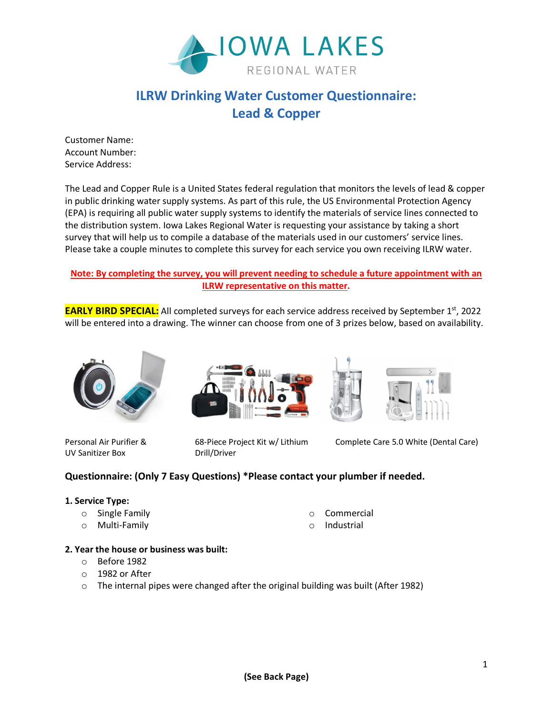

# **ILRW Drinking Water Customer Questionnaire: Lead & Copper**

Customer Name: Account Number: Service Address:

The Lead and Copper Rule is a United States federal regulation that monitors the levels of lead & copper in public drinking water supply systems. As part of this rule, the US Environmental Protection Agency (EPA) is requiring all public water supply systems to identify the materials of service lines connected to the distribution system. Iowa Lakes Regional Water is requesting your assistance by taking a short survey that will help us to compile a database of the materials used in our customers' service lines. Please take a couple minutes to complete this survey for each service you own receiving ILRW water.

#### **Note: By completing the survey, you will prevent needing to schedule a future appointment with an ILRW representative on this matter.**

**EARLY BIRD SPECIAL:** All completed surveys for each service address received by September 1<sup>st</sup>, 2022 will be entered into a drawing. The winner can choose from one of 3 prizes below, based on availability.



UV Sanitizer Box Drill/Driver





Personal Air Purifier & 68-Piece Project Kit w/ Lithium Complete Care 5.0 White (Dental Care)

## **Questionnaire: (Only 7 Easy Questions) \*Please contact your plumber if needed.**

#### **1. Service Type:**

- o Single Family
- o Multi-Family
	-
- o Commercial
- o Industrial

## **2. Year the house or business was built:**

- o Before 1982
- o 1982 or After
- $\circ$  The internal pipes were changed after the original building was built (After 1982)